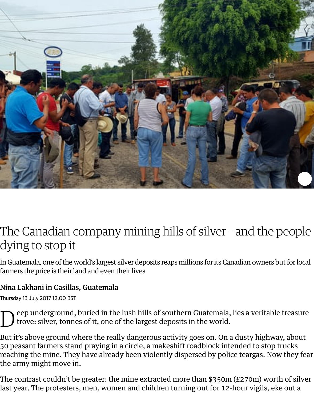<span id="page-0-0"></span>

## The Canadian company mining hills of silver - and th dying to stop it

In Guatemala, one of the world's largest silver deposits reaps millions for its Canadian owne farmers the price is their land and even their lives

## Nina Lakhani in Casillas, Guatemala

Thursday 13 July 2017 12.00 BST

eep underground, buried in the lush hills of southern Guatemala, lies a verit trove: silver, tonnes of it, one of the largest deposits in the world.

But it's above ground where the really dangerous activity goes on. On a dusty hig $\,$ [50 peasant far](https://www.theguardian.com/profile/nina-lakhani)mers stand praying in a circle, a makeshift roadblock intended to st reaching the mine. They have already been violently dispersed by police teargas. the army might move in.

The contrast couldn't be greater: the mine extracted more than \$350m (£270m)  $w$ last year. The protesters, men, women and children turning out for 12-hour vigils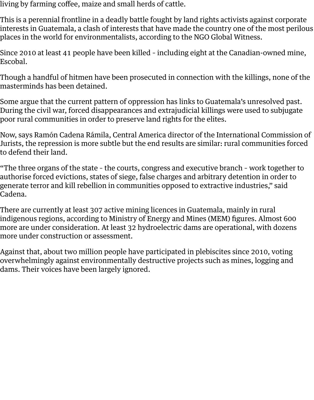Since 2010 at least 41 people have been killed – including eight at the Canadian-owned mine, Escobal.

Though a handful of hitmen have been prosecuted in connection with the killings [masterminds has been detained.](https://www.theguardian.com/environment/2017/jul/13/environmental-defenders-being-killed-in-record-numbers-globally-new-research-reveals)

Some argue that the current pattern of oppression has links to Guatemala's unres During the civil war, forced disappearances and extrajudicial killings were used to [poor rur](https://www.theguardian.com/environment/andes-to-the-amazon/2015/dec/14/canada-justin-trudeau-mining-abuses-latin-america)al communities in order to preserve land rights for the elites.

Now, says Ramón Cadena Rámila, Central America director of the International C Jurists, the repression is more subtle but the end results are similar: rural commu to defend their land.

"The three organs of the state - the courts, congress and executive branch - work authorise forced evictions, states of siege, false charges and arbitrary detention ir generate terror and kill rebellion in communities opposed to extractive industries Cadena.

There are currently at least 307 active mining licences in Guatemala, mainly in ru indigenous regions, according to Ministry of Energy and Mines (MEM) figures. Ali more are under consideration. At least 32 hydroelectric dams are operational, wit more under construction or assessment.

Against that, about two million people have participated in plebiscites since 2010 overwhelmingly against environmentally destructive projects such as mines, logg dams. Their voices have been lar[gely ignored.](http://www.mem.gob.gt/mineria/estadisticas-mineras/licencias-vigentes-y-solicitudes-en-tramite/)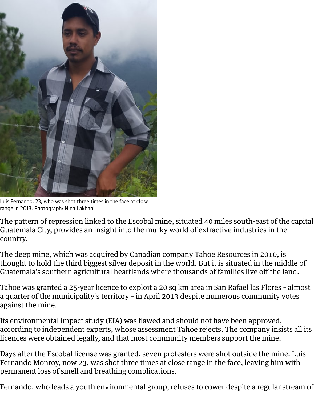<span id="page-2-0"></span>

Luis Fernando, 23, who was shot three times in the face at close range in 2013. Photograph: Nina Lakhani

[The pattern of repression linked to the Escobal m](#page-2-0)ine, situated 40 miles south-east Guatemala City, provides an insight into the murky world of extractive industries country.

The deep mine, which was acquired by Canadian company Tahoe Resources in 20 thought to hold the third biggest silver deposit in the world. But it is situated in th Guatemala's southern agricultural heartlands where thousands of families live of

Tahoe was granted a 25-year licence to exploit a 20 sq km area in San Rafael las Fl a quarter of the municipality's territory - in April 2013 despite numerous commu against the mine.

Its environmental impact study (EIA) was flawed and should not have been appro according to independent experts, whose assessment Tahoe rejects. The company licences were obtained legally, and that most community members support the m

Days after the Escobal license was granted, seven protesters were shot outside the Fernando Monroy, now 23, was shot three times at close range in the face, leaving permanent loss of smell and breathing complications.

[Fernando, who leads a youth envi](https://www.ocmal.org/analisis-de-estudio-de-impacto-ambiental-del-proyecto-minero-el-escobal/)ronmental group, refuses to cower despite a reg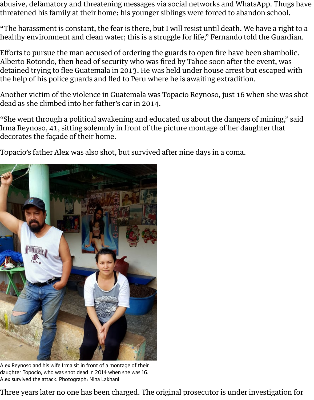Efforts to pursue the man accused of ordering the guards to open fire have been shambolic. Alberto Rotondo, then head of security who was fired by Tahoe soon after the eve detained trying to flee Guatemala in 2013. He was held under house arrest but es the help of his police guards and fled to Peru where he is awaiting extradition.

Another victim of the violence in Guatemala was Topacio Reynoso, just 16 when dead as she climbed into her father's car in 2014.

"She went through a political awakening and educated us about the dangers of m Irma Reynoso, 41, sitting solem[nly in front of the picture montage of her daug](http://www.prensacomunitaria.org/varios-policias-fueron-condenados-por-la-fuga-de-alberto-rotondo/)hte decorates the façade of their home.

Topacio's father Alex was also shot, but survived after nine days in a coma.

<span id="page-3-0"></span>

Alex Reynoso and his wife Irma sit in front of a montage of their daughter Topocio, who was shot dead in 2014 when she was 16. Alex survived the attack. Photograph: Nina Lakhani

[Three years later no one has been charged. The o](#page-3-0)riginal prosecutor is under inves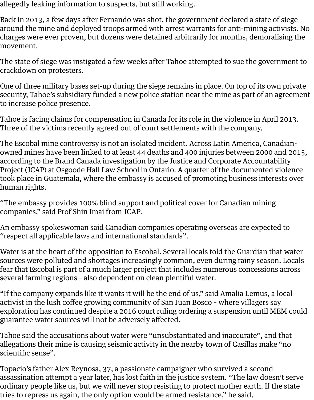The state of siege was instigated a few weeks after Tahoe attempted to sue the go crackdown on protesters.

One of three military bases set-up during the siege remains in place. On top of its security, Tahoe's subsidiary fu[nded a new police station near the mine as p](https://miningwatch.ca/sites/default/files/solano-underseigereport2015-11-10.pdf)art of a to increase police presence.

Tahoe is facing claims for compensation in Canada for its role in the violence in A Three of the victims recently agreed out of court settlements with the company.

The Escobal mine controversy is not an isolated incident. Across Latin America, C owned mines have been lin[ked to at least 44 deaths and](http://www.prensalibre.com/guatemala/santa-rosa/subestacion-de-la-pnc-cuenta-con-nuevo-edificio) 400 injuries between 200 according to the Brand Canada investigation by the Justice and Corporate Accoun Project ([JCAP\) at Osgoode Hall Law School in Ontar](https://tahoeontrial.net/)io. A quarter of the documente took place in Guatemala, where the embassy is accused of promoting business int human rights.

"The embassy provides 100% blind support and political cover for Canadian mini companies," said Prof Shin Imai from JCAP.

An embassy spokeswoman said Canadian companies operating overseas are expe "respect all applicable laws and international standards".

Water is at the heart of the opposition to Escobal. Several locals told the Guardian sources were polluted and shortages increasingly common, even during rainy sea fear that Escobal is part of a much larger project that includes numerous concessi several farming regions – also dependent on clean plentiful water.

"If the company expands like it wants it will be the end of us," said Amalia Lemus activist in the lush coffee growing community of San Juan Bosco - where villagers exploration has continued despite a 2016 court ruling ordering a suspension until guarantee water sources will not be adversely affected.

Tahoe said the accusations about water were "unsubstantiated and inaccurate", a allegations their mine is causing seismic activity in the nearby town of Casillas ma scientific sense".

Topacio's father Alex Reynosa, 37, a passionate campaigner who survived a secor assassination attempt a year later, has lost faith in the justice system. "The law do ordinary people like us, but we will never stop resisting to protect mother earth. I tries to repress us again, the only option would be armed resistance," he said.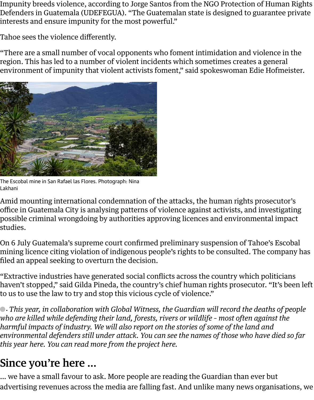The are a small number of vocal opponents who foment intimidation and v region. This has led to a number of violent incidents which sometimes creates a g environment of impunity that violent activists foment," said spokeswoman Edie I

<span id="page-5-0"></span>

The Escobal mine in San Rafael las Flores. Photograph: Nina Lakhani

[Amid mounting international condemnation of t](#page-5-0)he attacks, the human rights pros office in Guatemala City is analysing patterns of violence against activists, and inv possible criminal wrongdoing by authorities approving licences and environment studies.

On 6 July Guatemala's supreme court confirmed preliminary suspension of Tahoe mini[ng licence citing violation of indigenous](http://www.oas.org/en/iachr/media_center/PReleases/2017/088.asp) people's rights to be consulted. The filed an appeal seeking to overturn the decision.

"Extractive industries have generated social conflicts across the country which po haven't stopped," said Gilda Pineda, the country's chief human rights prosecutor. to us to use the law to try and stop this vicious cycle of violence."

 $\bullet$  *This year, in collaboration with Global Witness, the Guardian will record the deat* who are killed while defending their land, forests, rivers or wildlife - most often aga*i harmful impacts of industry. We will also report on the stories of some of the land and* environmental defenders still under attack. You can see the names of those who hav *this year here. You can read more from the project here.*

## Since you're here …

... we have a small favour to ask. More people are reading the Guardian than ever advertising revenues across the media are falling fast. And unlike many news orga